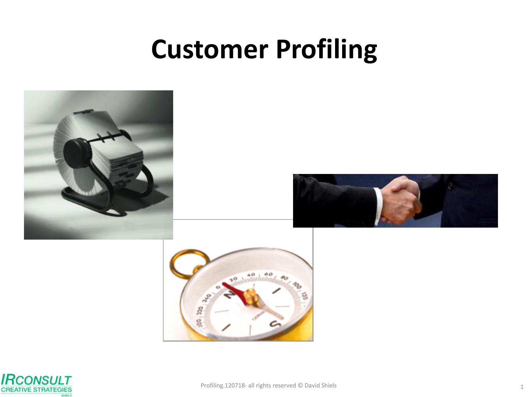# **Customer Profiling**







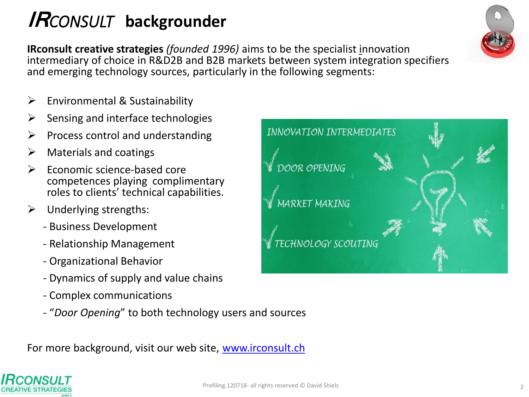# **IR***CONSULT* **backgrounder**

**IRconsult creative strategies** *(founded 1996)* aims to be the specialist innovation intermediary of choice in R&D2B and B2B markets between system integration specifiers and emerging technology sources, particularly in the following segments:

- Environmental & Sustainability
- Sensing and interface technologies
- Process control and understanding
- $\triangleright$  Materials and coatings
- $\triangleright$  Economic science-based core competences playing complimentary roles to clients' technical capabilities.
- $\triangleright$  Underlying strengths:
	- Business Development
	- Relationship Management
	- Organizational Behavior
	- Dynamics of supply and value chains
	- Complex communications
	- "*Door Opening*" to both technology users and sources

For more background, visit our web site, [www.irconsult.ch](http://www.irconsult.ch/)





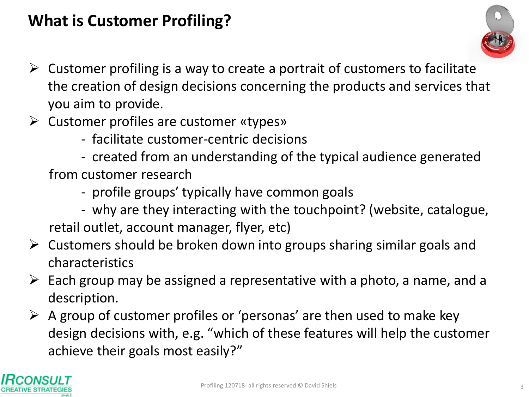#### **What is Customer Profiling?**



- $\triangleright$  Customer profiling is a way to create a portrait of customers to facilitate the creation of design decisions concerning the products and services that you aim to provide.
- $\triangleright$  Customer profiles are customer «types»
	- facilitate customer-centric decisions
	- created from an understanding of the typical audience generated from customer research
		- profile groups' typically have common goals
	- why are they interacting with the touchpoint? (website, catalogue, retail outlet, account manager, flyer, etc)
- $\triangleright$  Customers should be broken down into groups sharing similar goals and characteristics
- $\triangleright$  Each group may be assigned a representative with a photo, a name, and a description.
- $\triangleright$  A group of customer profiles or 'personas' are then used to make key design decisions with, e.g. "which of these features will help the customer achieve their goals most easily?"

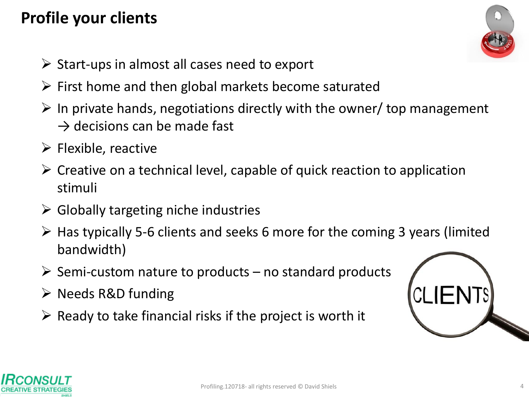## **Profile your clients**

- $\triangleright$  Start-ups in almost all cases need to export
- $\triangleright$  First home and then global markets become saturated
- $\triangleright$  In private hands, negotiations directly with the owner/ top management  $\rightarrow$  decisions can be made fast
- $\triangleright$  Flexible, reactive
- $\triangleright$  Creative on a technical level, capable of quick reaction to application stimuli
- $\triangleright$  Globally targeting niche industries
- $\triangleright$  Has typically 5-6 clients and seeks 6 more for the coming 3 years (limited bandwidth)
- $\triangleright$  Semi-custom nature to products no standard products
- $\triangleright$  Needs R&D funding
- $\triangleright$  Ready to take financial risks if the project is worth it





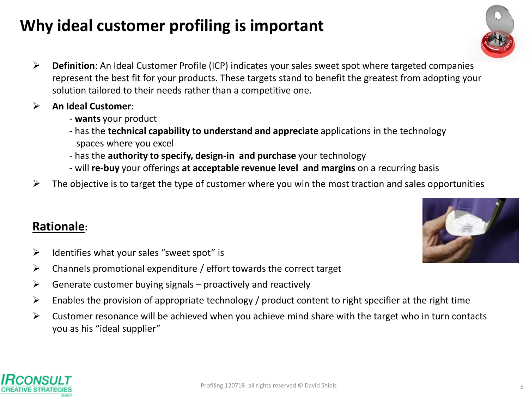# **Why ideal customer profiling is important**

- **Definition**: An Ideal Customer Profile (ICP) indicates your sales sweet spot where targeted companies represent the best fit for your products. These targets stand to benefit the greatest from adopting your solution tailored to their needs rather than a competitive one.
- **An Ideal Customer**:
	- **wants** your product
	- has the **technical capability to understand and appreciate** applications in the technology spaces where you excel
	- has the **authority to specify, design-in and purchase** your technology
	- will **re-buy** your offerings **at acceptable revenue level and margins** on a recurring basis
- $\triangleright$  The objective is to target the type of customer where you win the most traction and sales opportunities

#### **Rationale:**

- $\triangleright$  Identifies what your sales "sweet spot" is
- $\triangleright$  Channels promotional expenditure / effort towards the correct target
- $\triangleright$  Generate customer buying signals proactively and reactively
- $\triangleright$  Enables the provision of appropriate technology / product content to right specifier at the right time
- $\triangleright$  Customer resonance will be achieved when you achieve mind share with the target who in turn contacts you as his "ideal supplier"





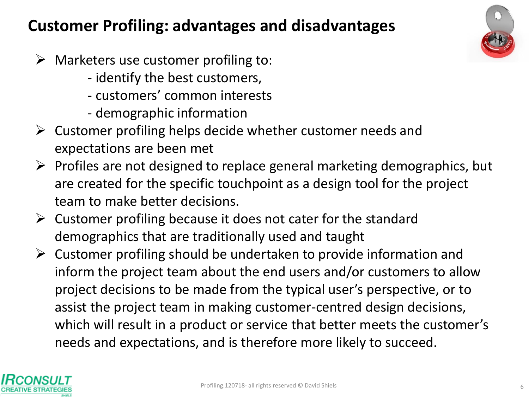#### **Customer Profiling: advantages and disadvantages**

- $\triangleright$  Marketers use customer profiling to:
	- identify the best customers,
	- customers' common interests
	- demographic information
- $\triangleright$  Customer profiling helps decide whether customer needs and expectations are been met
- $\triangleright$  Profiles are not designed to replace general marketing demographics, but are created for the specific touchpoint as a design tool for the project team to make better decisions.
- $\triangleright$  Customer profiling because it does not cater for the standard demographics that are traditionally used and taught
- $\triangleright$  Customer profiling should be undertaken to provide information and inform the project team about the end users and/or customers to allow project decisions to be made from the typical user's perspective, or to assist the project team in making customer-centred design decisions, which will result in a product or service that better meets the customer's needs and expectations, and is therefore more likely to succeed.



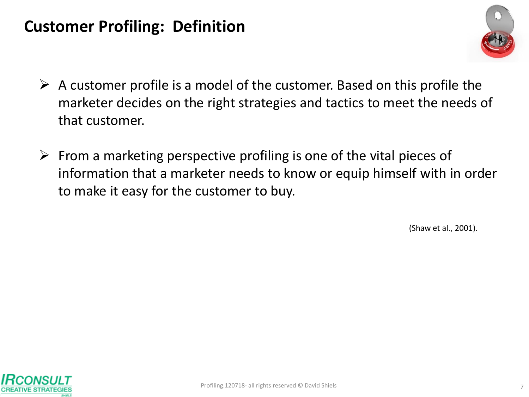#### **Customer Profiling: Definition**



- $\triangleright$  A customer profile is a model of the customer. Based on this profile the marketer decides on the right strategies and tactics to meet the needs of that customer.
- $\triangleright$  From a marketing perspective profiling is one of the vital pieces of information that a marketer needs to know or equip himself with in order to make it easy for the customer to buy.

(Shaw et al., 2001).

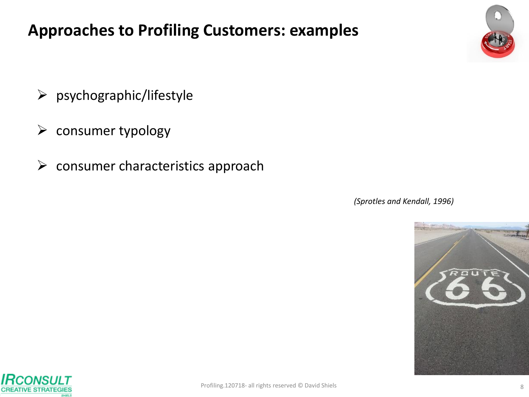#### **Approaches to Profiling Customers: examples**

- $\triangleright$  psychographic/lifestyle
- $\triangleright$  consumer typology
- $\triangleright$  consumer characteristics approach

*(Sprotles and Kendall, 1996)*



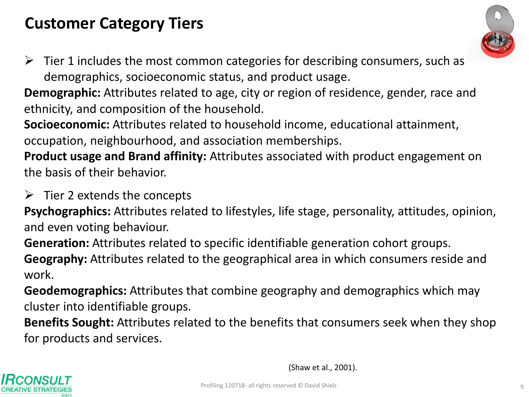### **Customer Category Tiers**



 $\triangleright$  Tier 1 includes the most common categories for describing consumers, such as demographics, socioeconomic status, and product usage.

**Demographic:** Attributes related to age, city or region of residence, gender, race and ethnicity, and composition of the household.

**Socioeconomic:** Attributes related to household income, educational attainment, occupation, neighbourhood, and association memberships.

**Product usage and Brand affinity:** Attributes associated with product engagement on the basis of their behavior.

 $\triangleright$  Tier 2 extends the concepts

**Psychographics:** Attributes related to lifestyles, life stage, personality, attitudes, opinion, and even voting behaviour.

**Generation:** Attributes related to specific identifiable generation cohort groups.

**Geography:** Attributes related to the geographical area in which consumers reside and work.

**Geodemographics:** Attributes that combine geography and demographics which may cluster into identifiable groups.

**Benefits Sought:** Attributes related to the benefits that consumers seek when they shop for products and services.



(Shaw et al., 2001).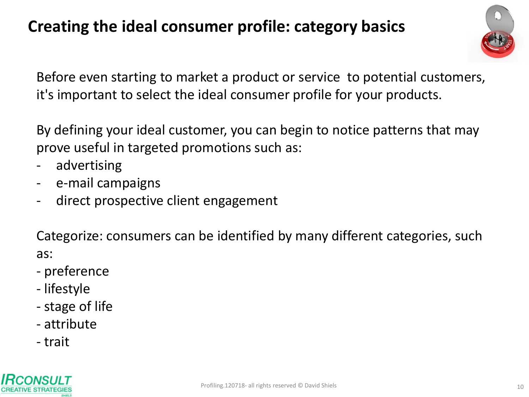## **Creating the ideal consumer profile: category basics**



Before even starting to market a product or service to potential customers, it's important to select the ideal consumer profile for your products.

By defining your ideal customer, you can begin to notice patterns that may prove useful in targeted promotions such as:

- advertising
- e-mail campaigns
- direct prospective client engagement

Categorize: consumers can be identified by many different categories, such as:

- preference
- lifestyle
- stage of life
- attribute
- trait

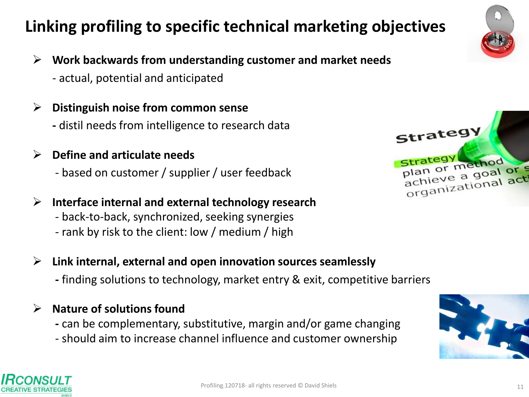# **Linking profiling to specific technical marketing objectives**



- **Work backwards from understanding customer and market needs**
	- actual, potential and anticipated
- **Distinguish noise from common sense**
	- **-** distil needs from intelligence to research data
- **Define and articulate needs**
	- based on customer / supplier / user feedback
- **Interface internal and external technology research**
	- back-to-back, synchronized, seeking synergies
	- rank by risk to the client: low / medium / high



- **Link internal, external and open innovation sources seamlessly**
	- **-** finding solutions to technology, market entry & exit, competitive barriers
- **Nature of solutions found** 
	- **-** can be complementary, substitutive, margin and/or game changing
	- should aim to increase channel influence and customer ownership



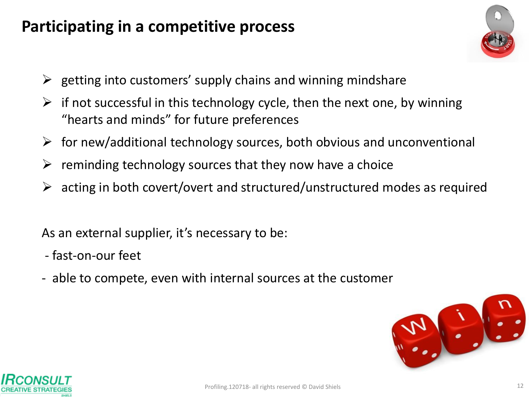#### **Participating in a competitive process**



- $\triangleright$  getting into customers' supply chains and winning mindshare
- $\triangleright$  if not successful in this technology cycle, then the next one, by winning "hearts and minds" for future preferences
- $\triangleright$  for new/additional technology sources, both obvious and unconventional
- $\triangleright$  reminding technology sources that they now have a choice
- $\triangleright$  acting in both covert/overt and structured/unstructured modes as required

As an external supplier, it's necessary to be:

- fast-on-our feet
- able to compete, even with internal sources at the customer



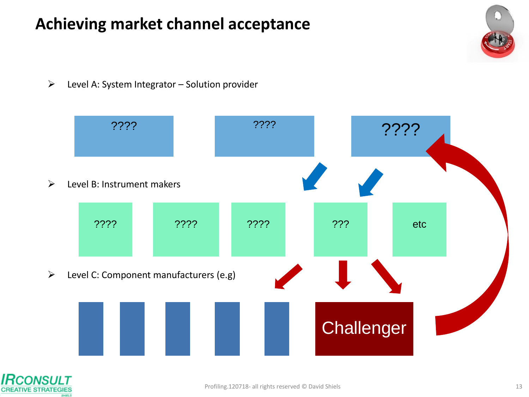### **Achieving market channel acceptance**

 $\triangleright$  Level A: System Integrator – Solution provider



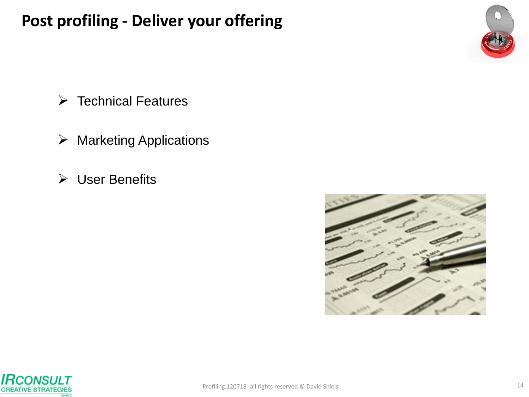#### **Post profiling - Deliver your offering**



- $\triangleright$  Technical Features
- $\triangleright$  Marketing Applications
- User Benefits



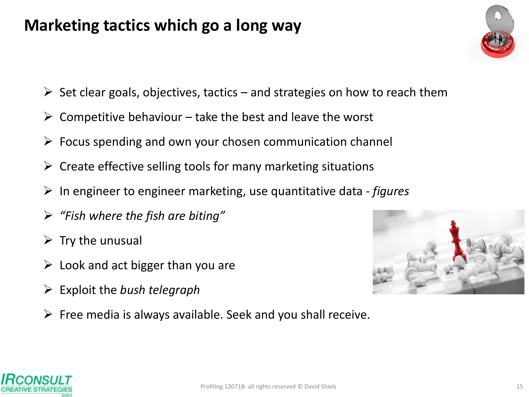#### **Marketing tactics which go a long way**

- $\triangleright$  Set clear goals, objectives, tactics and strategies on how to reach them
- $\triangleright$  Competitive behaviour take the best and leave the worst
- $\triangleright$  Focus spending and own your chosen communication channel
- $\triangleright$  Create effective selling tools for many marketing situations
- In engineer to engineer marketing, use quantitative data *- figures*
- *"Fish where the fish are biting"*
- $\triangleright$  Try the unusual
- $\triangleright$  Look and act bigger than you are
- Exploit the *bush telegraph*
- $\triangleright$  Free media is always available. Seek and you shall receive.



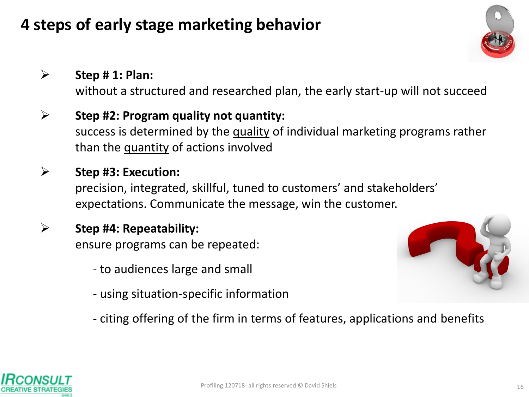### **4 steps of early stage marketing behavior**

#### **Step # 1: Plan:**

without a structured and researched plan, the early start-up will not succeed

#### **Step #2: Program quality not quantity:**  success is determined by the quality of individual marketing programs rather than the quantity of actions involved

#### **Step #3: Execution:**  precision, integrated, skillful, tuned to customers' and stakeholders' expectations. Communicate the message, win the customer.

#### **Step #4: Repeatability:**  ensure programs can be repeated:

- to audiences large and small
- using situation-specific information



- citing offering of the firm in terms of features, applications and benefits

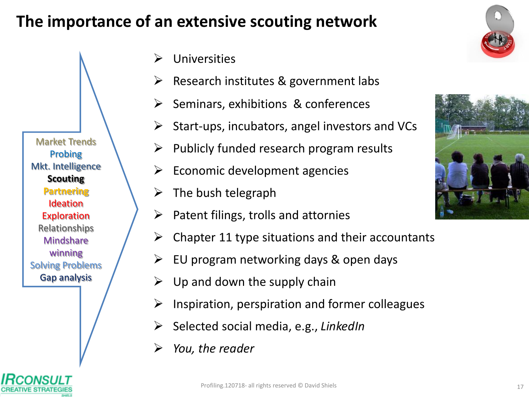#### **The importance of an extensive scouting network**

- Universities
- Research institutes & government labs
- $\triangleright$  Seminars, exhibitions & conferences
- $\triangleright$  Start-ups, incubators, angel investors and VCs
	- Publicly funded research program results
- Economic development agencies
- $\triangleright$  The bush telegraph
- $\triangleright$  Patent filings, trolls and attornies
- $\triangleright$  Chapter 11 type situations and their accountants
- $\triangleright$  EU program networking days & open days
- Up and down the supply chain
- $\triangleright$  Inspiration, perspiration and former colleagues
- Selected social media, e.g., *LinkedIn*
- *You, the reader*







Market Trends Probing Mkt. Intelligence **Scouting Partnering** Ideation **Exploration** Relationships **Mindshare** winning Solving Problems Gap analysis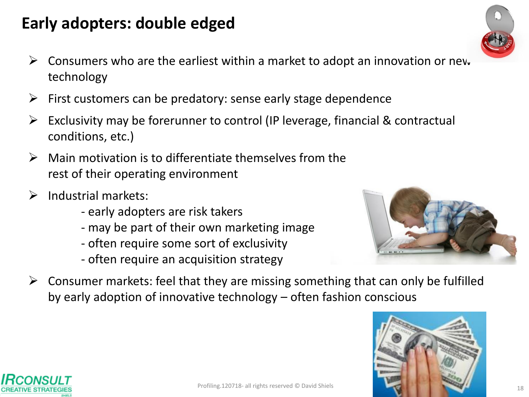#### **Early adopters: double edged**

- $\triangleright$  Consumers who are the earliest within a market to adopt an innovation or new technology
- $\triangleright$  First customers can be predatory: sense early stage dependence
- $\triangleright$  Exclusivity may be forerunner to control (IP leverage, financial & contractual conditions, etc.)
- $\triangleright$  Main motivation is to differentiate themselves from the rest of their operating environment
- $\triangleright$  Industrial markets:
	- early adopters are risk takers
	- may be part of their own marketing image
	- often require some sort of exclusivity
	- often require an acquisition strategy



 $\triangleright$  Consumer markets: feel that they are missing something that can only be fulfilled by early adoption of innovative technology – often fashion conscious